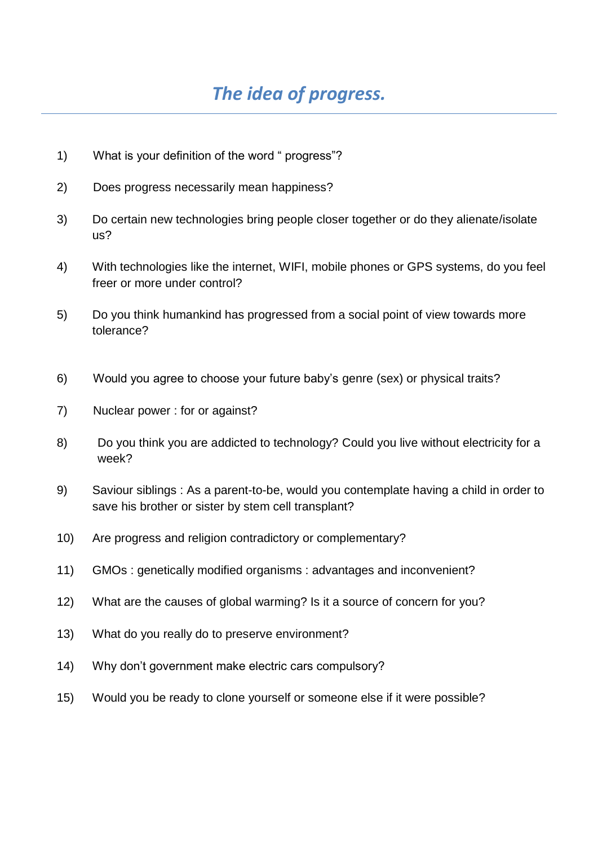- 1) What is your definition of the word " progress"?
- 2) Does progress necessarily mean happiness?
- 3) Do certain new technologies bring people closer together or do they alienate/isolate us?
- 4) With technologies like the internet, WIFI, mobile phones or GPS systems, do you feel freer or more under control?
- 5) Do you think humankind has progressed from a social point of view towards more tolerance?
- 6) Would you agree to choose your future baby's genre (sex) or physical traits?
- 7) Nuclear power : for or against?
- 8) Do you think you are addicted to technology? Could you live without electricity for a week?
- 9) Saviour siblings : As a parent-to-be, would you contemplate having a child in order to save his brother or sister by stem cell transplant?
- 10) Are progress and religion contradictory or complementary?
- 11) GMOs : genetically modified organisms : advantages and inconvenient?
- 12) What are the causes of global warming? Is it a source of concern for you?
- 13) What do you really do to preserve environment?
- 14) Why don't government make electric cars compulsory?
- 15) Would you be ready to clone yourself or someone else if it were possible?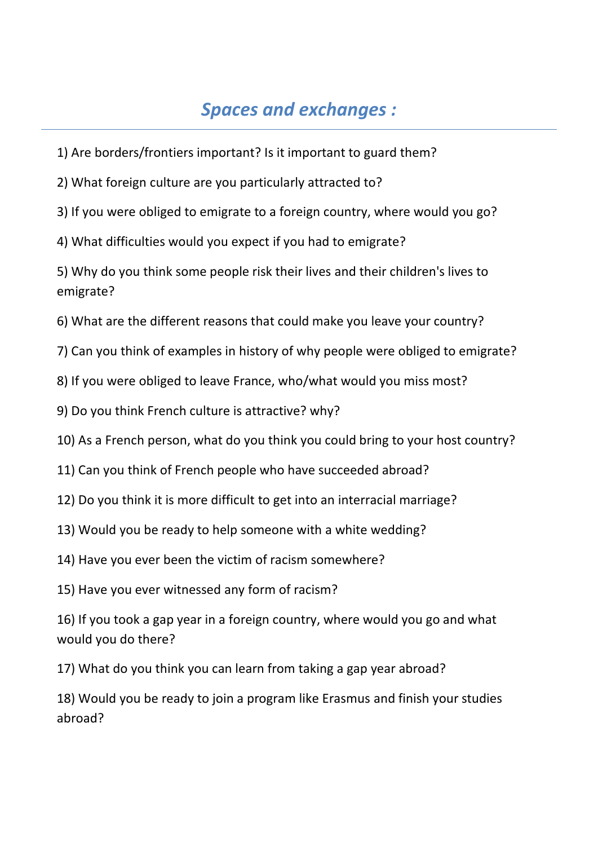## *Spaces and exchanges :*

- 1) Are borders/frontiers important? Is it important to guard them?
- 2) What foreign culture are you particularly attracted to?
- 3) If you were obliged to emigrate to a foreign country, where would you go?
- 4) What difficulties would you expect if you had to emigrate?

5) Why do you think some people risk their lives and their children's lives to emigrate?

- 6) What are the different reasons that could make you leave your country?
- 7) Can you think of examples in history of why people were obliged to emigrate?
- 8) If you were obliged to leave France, who/what would you miss most?
- 9) Do you think French culture is attractive? why?
- 10) As a French person, what do you think you could bring to your host country?
- 11) Can you think of French people who have succeeded abroad?
- 12) Do you think it is more difficult to get into an interracial marriage?
- 13) Would you be ready to help someone with a white wedding?
- 14) Have you ever been the victim of racism somewhere?
- 15) Have you ever witnessed any form of racism?

16) If you took a gap year in a foreign country, where would you go and what would you do there?

17) What do you think you can learn from taking a gap year abroad?

18) Would you be ready to join a program like Erasmus and finish your studies abroad?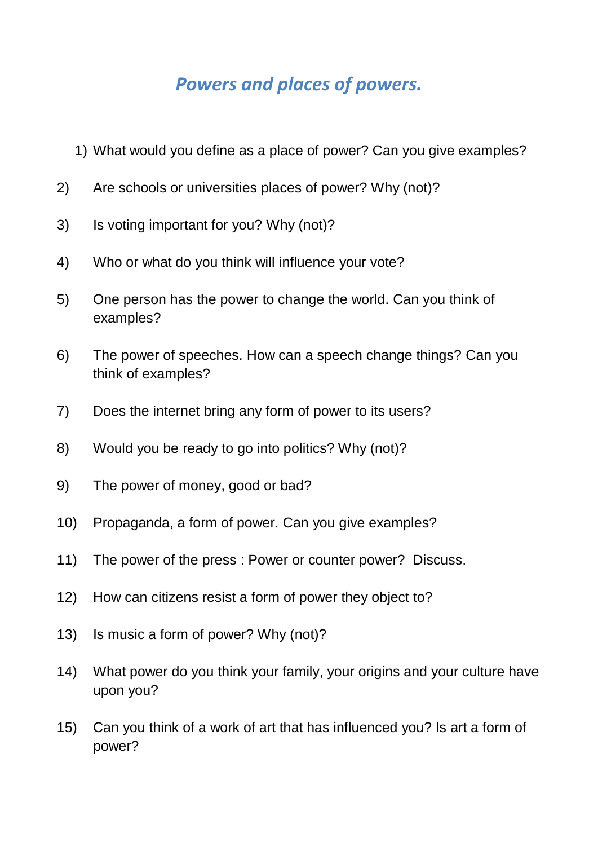- 1) What would you define as a place of power? Can you give examples?
- 2) Are schools or universities places of power? Why (not)?
- 3) Is voting important for you? Why (not)?
- 4) Who or what do you think will influence your vote?
- 5) One person has the power to change the world. Can you think of examples?
- 6) The power of speeches. How can a speech change things? Can you think of examples?
- 7) Does the internet bring any form of power to its users?
- 8) Would you be ready to go into politics? Why (not)?
- 9) The power of money, good or bad?
- 10) Propaganda, a form of power. Can you give examples?
- 11) The power of the press : Power or counter power? Discuss.
- 12) How can citizens resist a form of power they object to?
- 13) Is music a form of power? Why (not)?
- 14) What power do you think your family, your origins and your culture have upon you?
- 15) Can you think of a work of art that has influenced you? Is art a form of power?